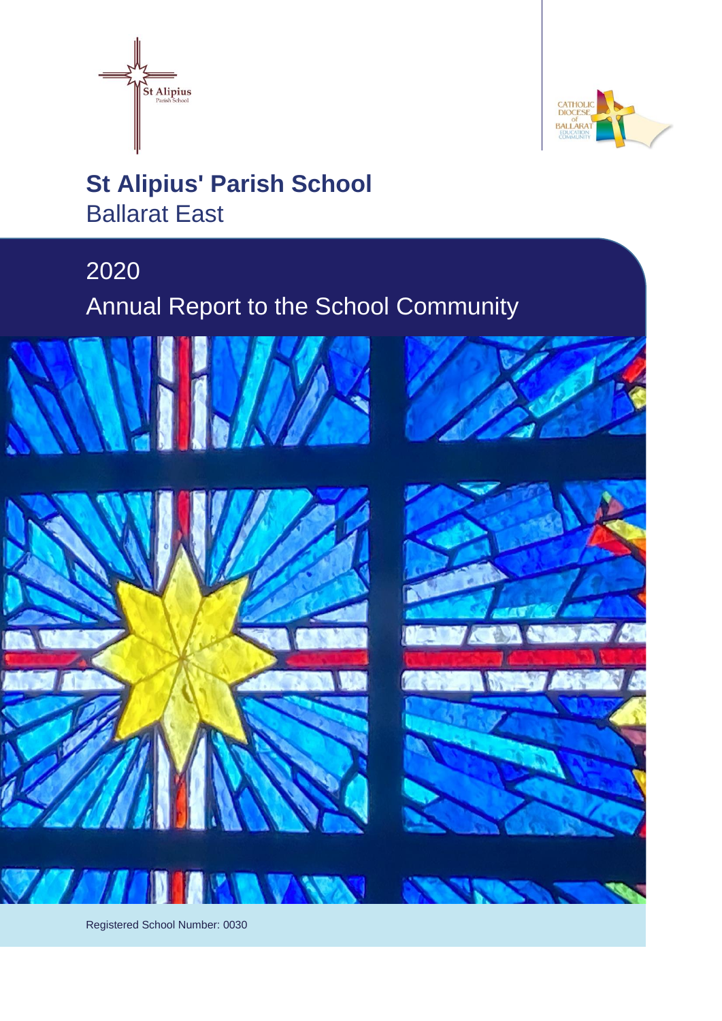



# **St Alipius' Parish School** Ballarat East

# 2020

Annual Report to the School Community







Registered School Number: 0030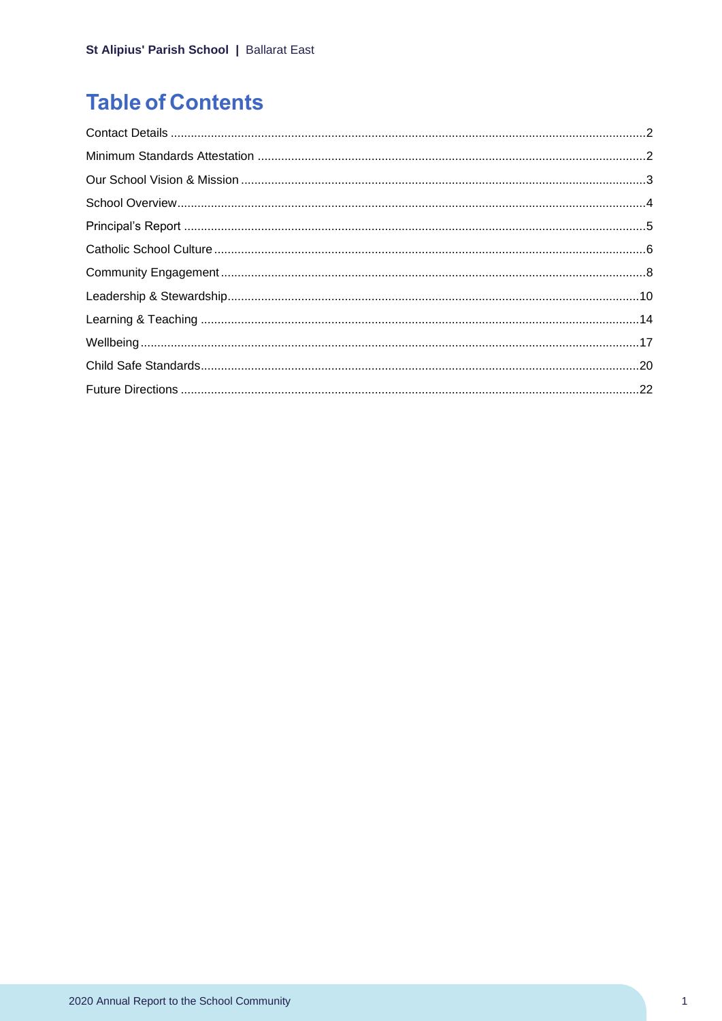# **Table of Contents**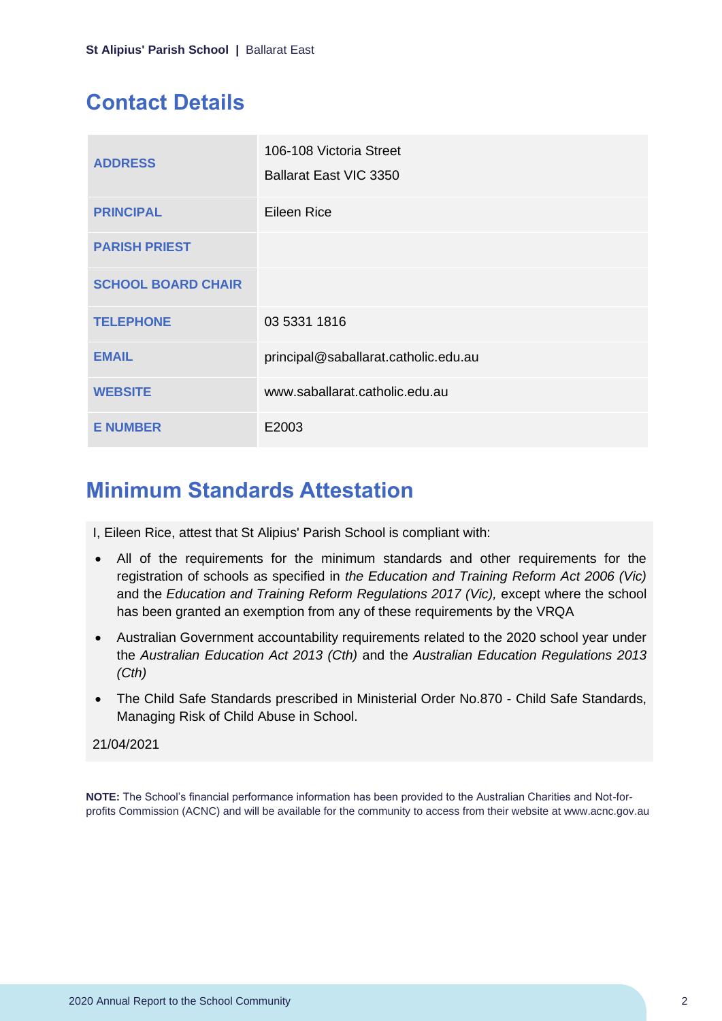# <span id="page-2-0"></span>**Contact Details**

| <b>ADDRESS</b>            | 106-108 Victoria Street<br>Ballarat East VIC 3350 |
|---------------------------|---------------------------------------------------|
| <b>PRINCIPAL</b>          | <b>Eileen Rice</b>                                |
| <b>PARISH PRIEST</b>      |                                                   |
| <b>SCHOOL BOARD CHAIR</b> |                                                   |
| <b>TELEPHONE</b>          | 03 5331 1816                                      |
| <b>EMAIL</b>              | principal@saballarat.catholic.edu.au              |
| <b>WEBSITE</b>            | www.saballarat.catholic.edu.au                    |
| <b>E NUMBER</b>           | E2003                                             |

## <span id="page-2-1"></span>**Minimum Standards Attestation**

I, Eileen Rice, attest that St Alipius' Parish School is compliant with:

- All of the requirements for the minimum standards and other requirements for the registration of schools as specified in *the Education and Training Reform Act 2006 (Vic)* and the *Education and Training Reform Regulations 2017 (Vic),* except where the school has been granted an exemption from any of these requirements by the VRQA
- Australian Government accountability requirements related to the 2020 school year under the *Australian Education Act 2013 (Cth)* and the *Australian Education Regulations 2013 (Cth)*
- The Child Safe Standards prescribed in Ministerial Order No.870 Child Safe Standards, Managing Risk of Child Abuse in School.

### 21/04/2021

**NOTE:** The School's financial performance information has been provided to the Australian Charities and Not-forprofits Commission (ACNC) and will be available for the community to access from their website at www.acnc.gov.au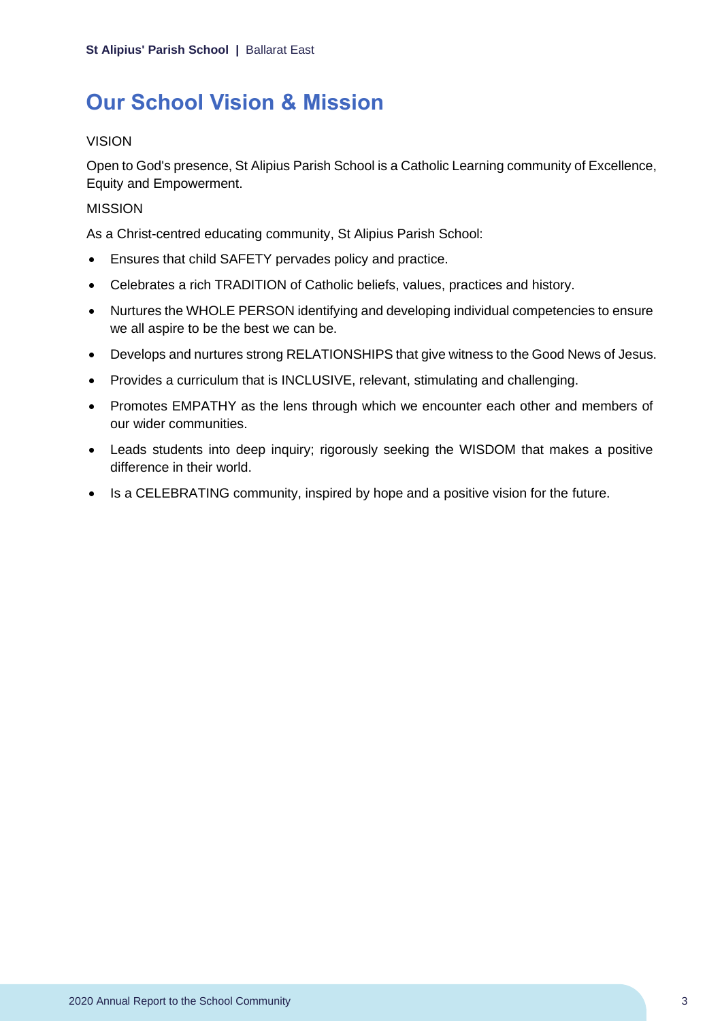# <span id="page-3-0"></span>**Our School Vision & Mission**

### VISION

Open to God's presence, St Alipius Parish School is a Catholic Learning community of Excellence, Equity and Empowerment.

### **MISSION**

As a Christ-centred educating community, St Alipius Parish School:

- Ensures that child SAFETY pervades policy and practice.
- Celebrates a rich TRADITION of Catholic beliefs, values, practices and history.
- Nurtures the WHOLE PERSON identifying and developing individual competencies to ensure we all aspire to be the best we can be.
- Develops and nurtures strong RELATIONSHIPS that give witness to the Good News of Jesus.
- Provides a curriculum that is INCLUSIVE, relevant, stimulating and challenging.
- Promotes EMPATHY as the lens through which we encounter each other and members of our wider communities.
- Leads students into deep inquiry; rigorously seeking the WISDOM that makes a positive difference in their world.
- Is a CELEBRATING community, inspired by hope and a positive vision for the future.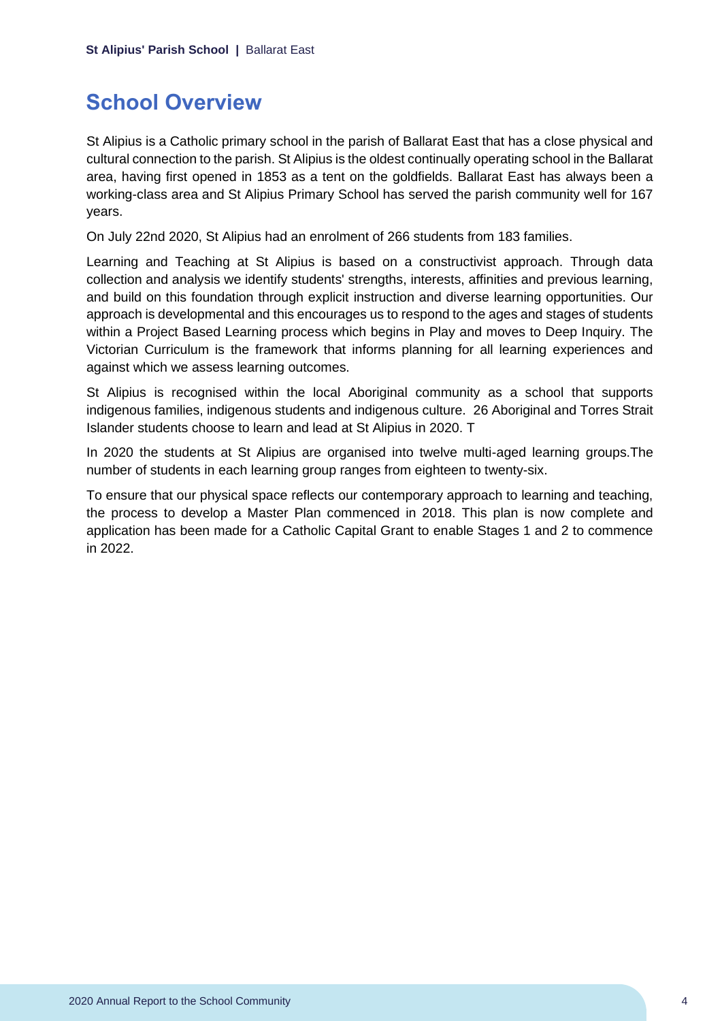## <span id="page-4-0"></span>**School Overview**

St Alipius is a Catholic primary school in the parish of Ballarat East that has a close physical and cultural connection to the parish. St Alipius is the oldest continually operating school in the Ballarat area, having first opened in 1853 as a tent on the goldfields. Ballarat East has always been a working-class area and St Alipius Primary School has served the parish community well for 167 years.

On July 22nd 2020, St Alipius had an enrolment of 266 students from 183 families.

Learning and Teaching at St Alipius is based on a constructivist approach. Through data collection and analysis we identify students' strengths, interests, affinities and previous learning, and build on this foundation through explicit instruction and diverse learning opportunities. Our approach is developmental and this encourages us to respond to the ages and stages of students within a Project Based Learning process which begins in Play and moves to Deep Inquiry. The Victorian Curriculum is the framework that informs planning for all learning experiences and against which we assess learning outcomes.

St Alipius is recognised within the local Aboriginal community as a school that supports indigenous families, indigenous students and indigenous culture. 26 Aboriginal and Torres Strait Islander students choose to learn and lead at St Alipius in 2020. T

In 2020 the students at St Alipius are organised into twelve multi-aged learning groups.The number of students in each learning group ranges from eighteen to twenty-six.

To ensure that our physical space reflects our contemporary approach to learning and teaching, the process to develop a Master Plan commenced in 2018. This plan is now complete and application has been made for a Catholic Capital Grant to enable Stages 1 and 2 to commence in 2022.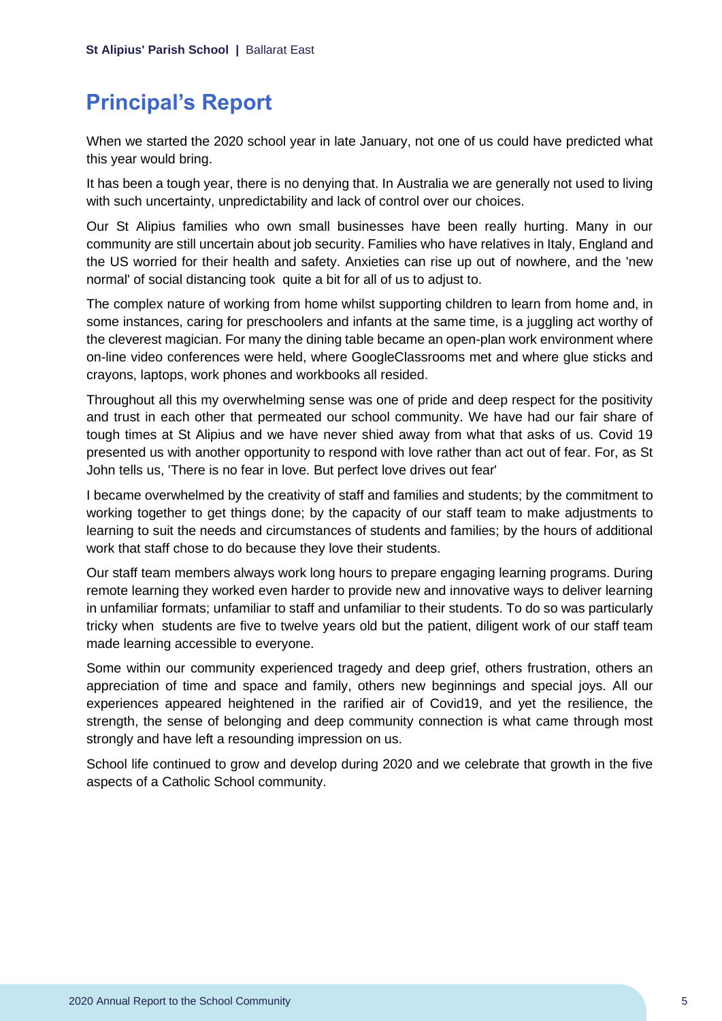## <span id="page-5-0"></span>**Principal's Report**

When we started the 2020 school year in late January, not one of us could have predicted what this year would bring.

It has been a tough year, there is no denying that. In Australia we are generally not used to living with such uncertainty, unpredictability and lack of control over our choices.

Our St Alipius families who own small businesses have been really hurting. Many in our community are still uncertain about job security. Families who have relatives in Italy, England and the US worried for their health and safety. Anxieties can rise up out of nowhere, and the 'new normal' of social distancing took quite a bit for all of us to adjust to.

The complex nature of working from home whilst supporting children to learn from home and, in some instances, caring for preschoolers and infants at the same time, is a juggling act worthy of the cleverest magician. For many the dining table became an open-plan work environment where on-line video conferences were held, where GoogleClassrooms met and where glue sticks and crayons, laptops, work phones and workbooks all resided.

Throughout all this my overwhelming sense was one of pride and deep respect for the positivity and trust in each other that permeated our school community. We have had our fair share of tough times at St Alipius and we have never shied away from what that asks of us. Covid 19 presented us with another opportunity to respond with love rather than act out of fear. For, as St John tells us, 'There is no fear in love. But perfect love drives out fear'

I became overwhelmed by the creativity of staff and families and students; by the commitment to working together to get things done; by the capacity of our staff team to make adjustments to learning to suit the needs and circumstances of students and families; by the hours of additional work that staff chose to do because they love their students.

Our staff team members always work long hours to prepare engaging learning programs. During remote learning they worked even harder to provide new and innovative ways to deliver learning in unfamiliar formats; unfamiliar to staff and unfamiliar to their students. To do so was particularly tricky when students are five to twelve years old but the patient, diligent work of our staff team made learning accessible to everyone.

Some within our community experienced tragedy and deep grief, others frustration, others an appreciation of time and space and family, others new beginnings and special joys. All our experiences appeared heightened in the rarified air of Covid19, and yet the resilience, the strength, the sense of belonging and deep community connection is what came through most strongly and have left a resounding impression on us.

School life continued to grow and develop during 2020 and we celebrate that growth in the five aspects of a Catholic School community.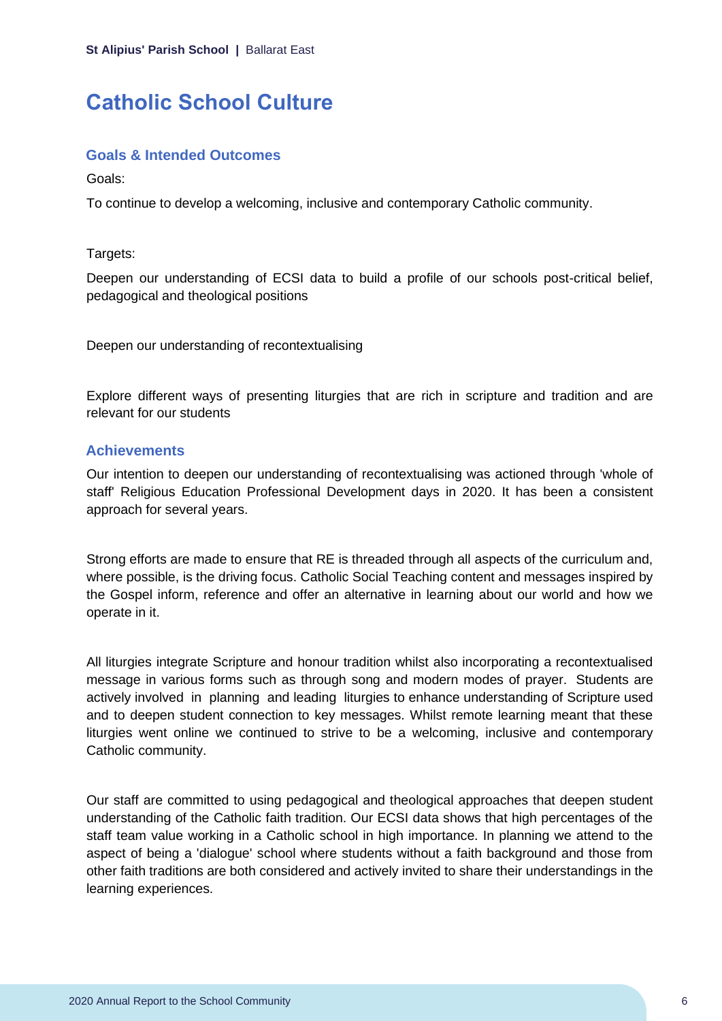# <span id="page-6-0"></span>**Catholic School Culture**

#### **Goals & Intended Outcomes**

Goals:

To continue to develop a welcoming, inclusive and contemporary Catholic community.

Targets:

Deepen our understanding of ECSI data to build a profile of our schools post-critical belief, pedagogical and theological positions

Deepen our understanding of recontextualising

Explore different ways of presenting liturgies that are rich in scripture and tradition and are relevant for our students

#### **Achievements**

Our intention to deepen our understanding of recontextualising was actioned through 'whole of staff' Religious Education Professional Development days in 2020. It has been a consistent approach for several years.

Strong efforts are made to ensure that RE is threaded through all aspects of the curriculum and, where possible, is the driving focus. Catholic Social Teaching content and messages inspired by the Gospel inform, reference and offer an alternative in learning about our world and how we operate in it.

All liturgies integrate Scripture and honour tradition whilst also incorporating a recontextualised message in various forms such as through song and modern modes of prayer. Students are actively involved in planning and leading liturgies to enhance understanding of Scripture used and to deepen student connection to key messages. Whilst remote learning meant that these liturgies went online we continued to strive to be a welcoming, inclusive and contemporary Catholic community.

Our staff are committed to using pedagogical and theological approaches that deepen student understanding of the Catholic faith tradition. Our ECSI data shows that high percentages of the staff team value working in a Catholic school in high importance. In planning we attend to the aspect of being a 'dialogue' school where students without a faith background and those from other faith traditions are both considered and actively invited to share their understandings in the learning experiences.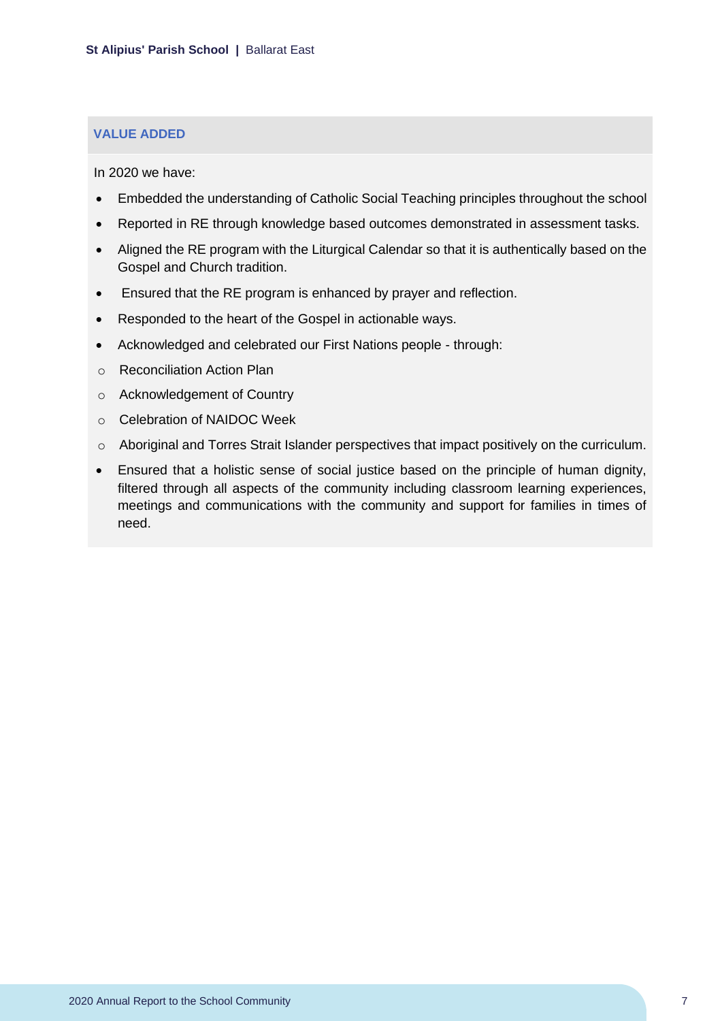#### **VALUE ADDED**

In 2020 we have:

- Embedded the understanding of Catholic Social Teaching principles throughout the school
- Reported in RE through knowledge based outcomes demonstrated in assessment tasks.
- Aligned the RE program with the Liturgical Calendar so that it is authentically based on the Gospel and Church tradition.
- Ensured that the RE program is enhanced by prayer and reflection.
- Responded to the heart of the Gospel in actionable ways.
- Acknowledged and celebrated our First Nations people through:
- o Reconciliation Action Plan
- o Acknowledgement of Country
- o Celebration of NAIDOC Week
- o Aboriginal and Torres Strait Islander perspectives that impact positively on the curriculum.
- Ensured that a holistic sense of social justice based on the principle of human dignity, filtered through all aspects of the community including classroom learning experiences, meetings and communications with the community and support for families in times of need.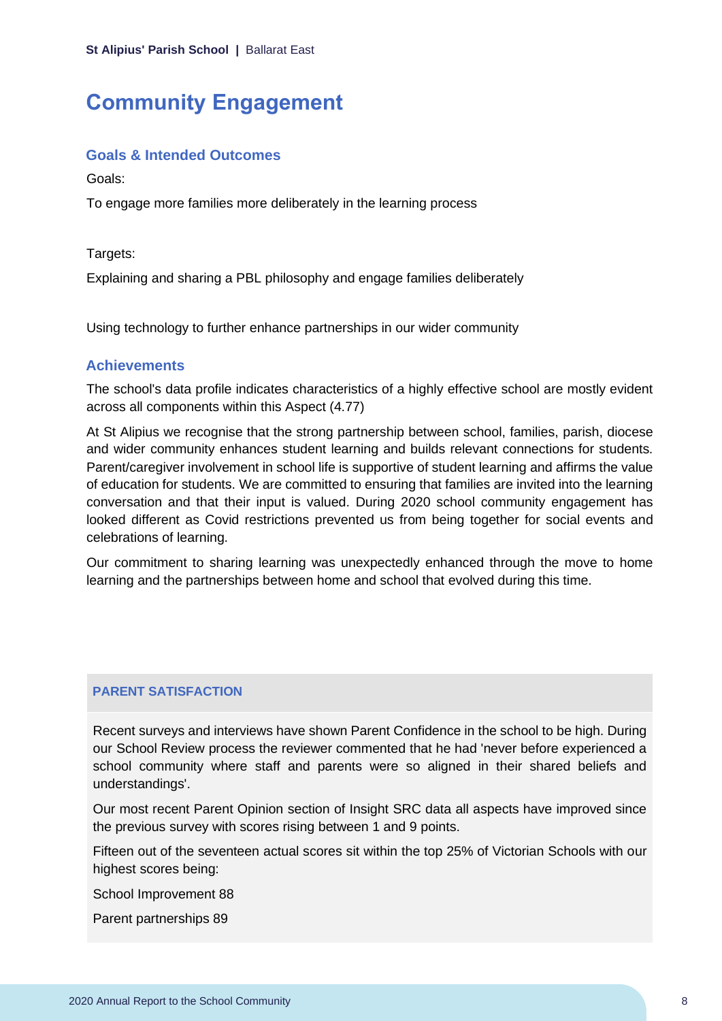## <span id="page-8-0"></span>**Community Engagement**

#### **Goals & Intended Outcomes**

Goals:

To engage more families more deliberately in the learning process

Targets:

Explaining and sharing a PBL philosophy and engage families deliberately

Using technology to further enhance partnerships in our wider community

#### **Achievements**

The school's data profile indicates characteristics of a highly effective school are mostly evident across all components within this Aspect (4.77)

At St Alipius we recognise that the strong partnership between school, families, parish, diocese and wider community enhances student learning and builds relevant connections for students. Parent/caregiver involvement in school life is supportive of student learning and affirms the value of education for students. We are committed to ensuring that families are invited into the learning conversation and that their input is valued. During 2020 school community engagement has looked different as Covid restrictions prevented us from being together for social events and celebrations of learning.

Our commitment to sharing learning was unexpectedly enhanced through the move to home learning and the partnerships between home and school that evolved during this time.

#### **PARENT SATISFACTION**

Recent surveys and interviews have shown Parent Confidence in the school to be high. During our School Review process the reviewer commented that he had 'never before experienced a school community where staff and parents were so aligned in their shared beliefs and understandings'.

Our most recent Parent Opinion section of Insight SRC data all aspects have improved since the previous survey with scores rising between 1 and 9 points.

Fifteen out of the seventeen actual scores sit within the top 25% of Victorian Schools with our highest scores being:

School Improvement 88

Parent partnerships 89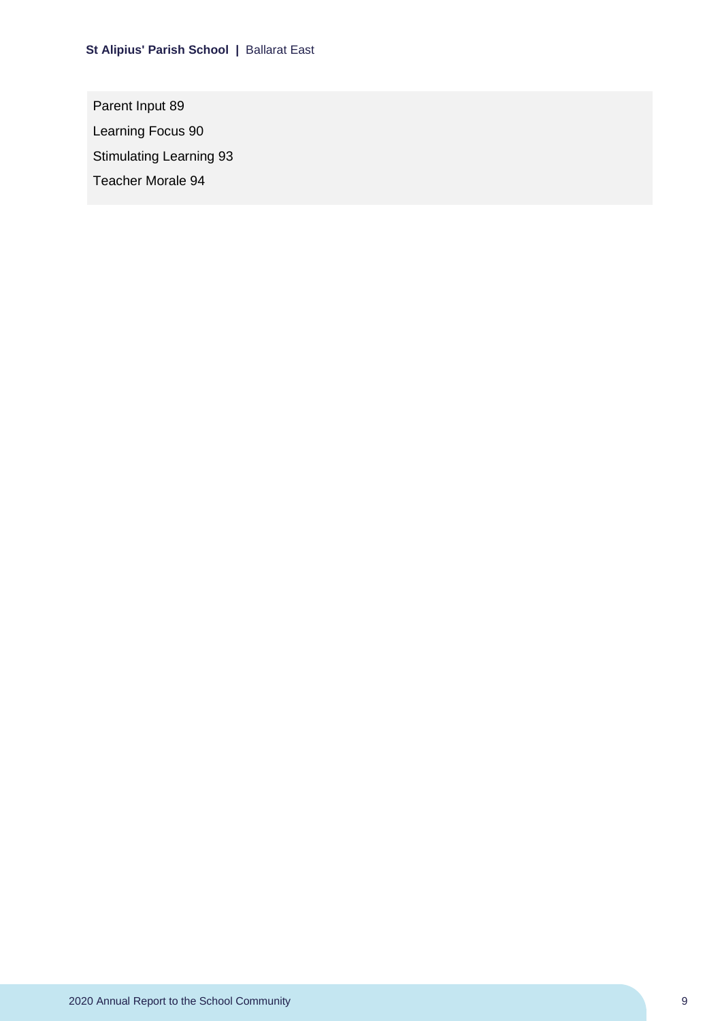Parent Input 89 Learning Focus 90 Stimulating Learning 93 Teacher Morale 94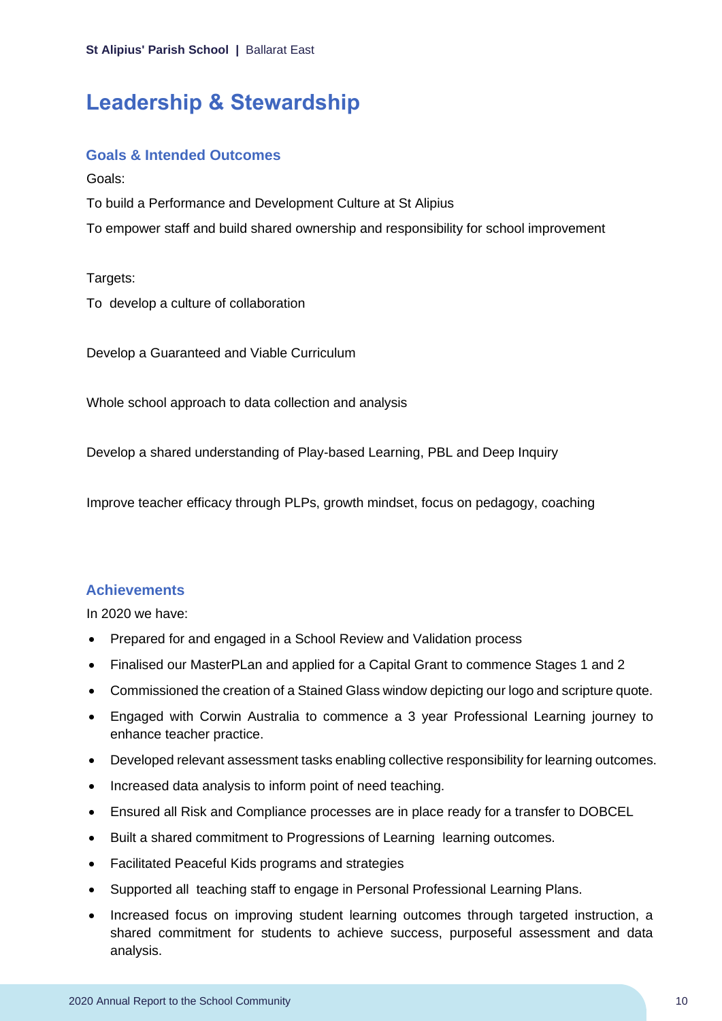### <span id="page-10-0"></span>**Leadership & Stewardship**

#### **Goals & Intended Outcomes**

Goals:

To build a Performance and Development Culture at St Alipius

To empower staff and build shared ownership and responsibility for school improvement

Targets:

To develop a culture of collaboration

Develop a Guaranteed and Viable Curriculum

Whole school approach to data collection and analysis

Develop a shared understanding of Play-based Learning, PBL and Deep Inquiry

Improve teacher efficacy through PLPs, growth mindset, focus on pedagogy, coaching

#### **Achievements**

In 2020 we have:

- Prepared for and engaged in a School Review and Validation process
- Finalised our MasterPLan and applied for a Capital Grant to commence Stages 1 and 2
- Commissioned the creation of a Stained Glass window depicting our logo and scripture quote.
- Engaged with Corwin Australia to commence a 3 year Professional Learning journey to enhance teacher practice.
- Developed relevant assessment tasks enabling collective responsibility for learning outcomes.
- Increased data analysis to inform point of need teaching.
- Ensured all Risk and Compliance processes are in place ready for a transfer to DOBCEL
- Built a shared commitment to Progressions of Learning learning outcomes.
- Facilitated Peaceful Kids programs and strategies
- Supported all teaching staff to engage in Personal Professional Learning Plans.
- Increased focus on improving student learning outcomes through targeted instruction, a shared commitment for students to achieve success, purposeful assessment and data analysis.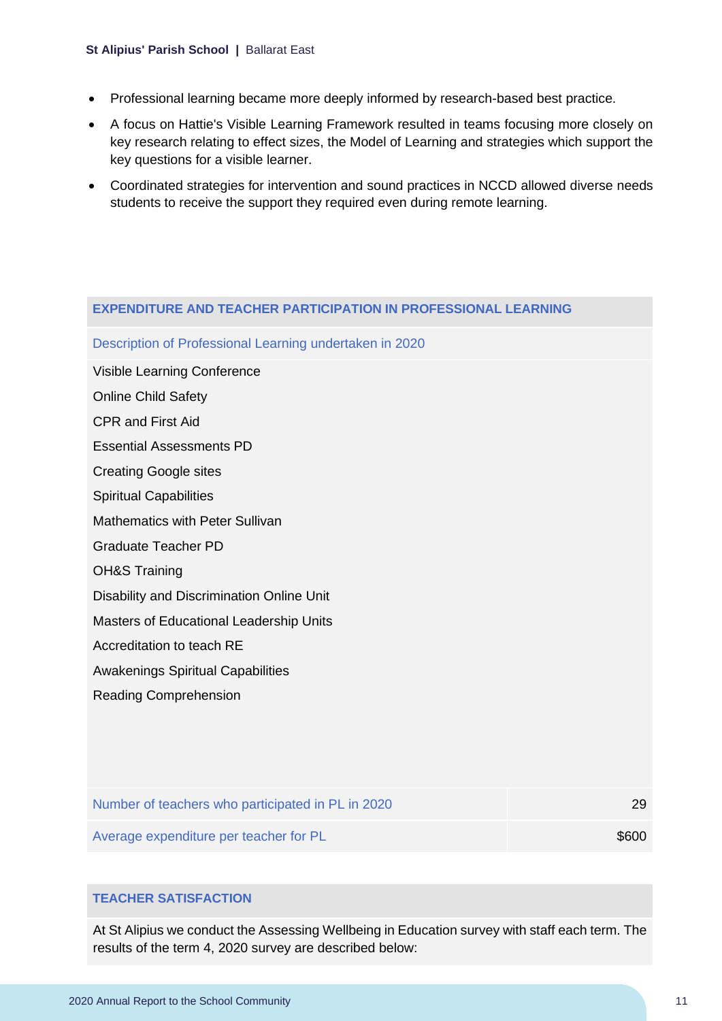#### **St Alipius' Parish School |** Ballarat East

- Professional learning became more deeply informed by research-based best practice.
- A focus on Hattie's Visible Learning Framework resulted in teams focusing more closely on key research relating to effect sizes, the Model of Learning and strategies which support the key questions for a visible learner.
- Coordinated strategies for intervention and sound practices in NCCD allowed diverse needs students to receive the support they required even during remote learning.

#### **EXPENDITURE AND TEACHER PARTICIPATION IN PROFESSIONAL LEARNING**

Description of Professional Learning undertaken in 2020

Visible Learning Conference

Online Child Safety

CPR and First Aid

Essential Assessments PD

Creating Google sites

Spiritual Capabilities

Mathematics with Peter Sullivan

Graduate Teacher PD

OH&S Training

Disability and Discrimination Online Unit

Masters of Educational Leadership Units

Accreditation to teach RE

Awakenings Spiritual Capabilities

Reading Comprehension

| Number of teachers who participated in PL in 2020 | 29    |
|---------------------------------------------------|-------|
| Average expenditure per teacher for PL            | \$600 |

### **TEACHER SATISFACTION**

At St Alipius we conduct the Assessing Wellbeing in Education survey with staff each term. The results of the term 4, 2020 survey are described below: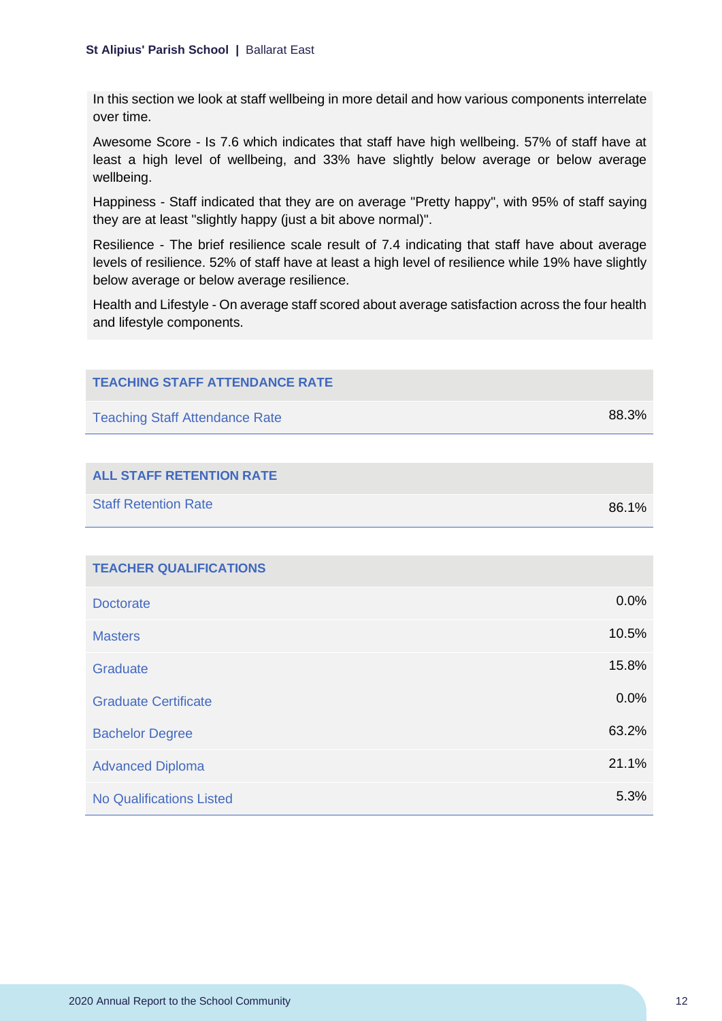In this section we look at staff wellbeing in more detail and how various components interrelate over time.

Awesome Score - Is 7.6 which indicates that staff have high wellbeing. 57% of staff have at least a high level of wellbeing, and 33% have slightly below average or below average wellbeing.

Happiness - Staff indicated that they are on average "Pretty happy", with 95% of staff saying they are at least "slightly happy (just a bit above normal)".

Resilience - The brief resilience scale result of 7.4 indicating that staff have about average levels of resilience. 52% of staff have at least a high level of resilience while 19% have slightly below average or below average resilience.

Health and Lifestyle - On average staff scored about average satisfaction across the four health and lifestyle components.

| <b>TEACHING STAFF ATTENDANCE RATE</b> |       |
|---------------------------------------|-------|
| <b>Teaching Staff Attendance Rate</b> | 88.3% |
|                                       |       |
| <b>ALL STAFF RETENTION RATE</b>       |       |
| <b>Staff Retention Rate</b>           | 86.1% |
|                                       |       |
| <b>TEACHER QUALIFICATIONS</b>         |       |
| <b>Doctorate</b>                      | 0.0%  |
| <b>Masters</b>                        | 10.5% |
| Graduate                              | 15.8% |
| <b>Graduate Certificate</b>           | 0.0%  |
| <b>Bachelor Degree</b>                | 63.2% |
| <b>Advanced Diploma</b>               | 21.1% |
| <b>No Qualifications Listed</b>       | 5.3%  |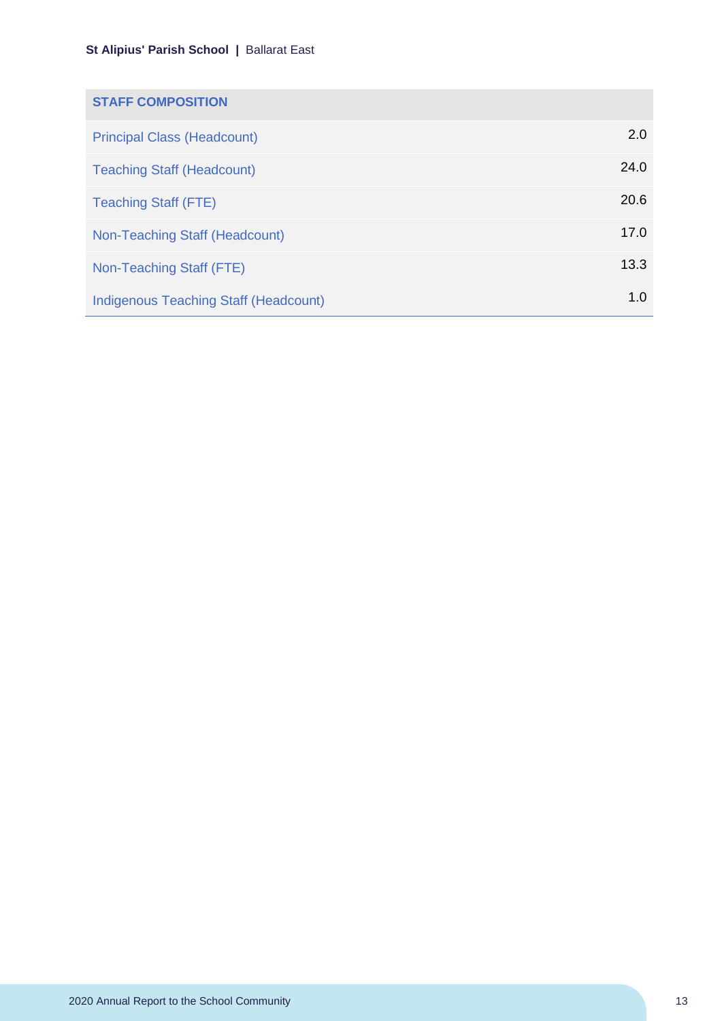| <b>STAFF COMPOSITION</b>                     |      |
|----------------------------------------------|------|
| <b>Principal Class (Headcount)</b>           | 2.0  |
| <b>Teaching Staff (Headcount)</b>            | 24.0 |
| <b>Teaching Staff (FTE)</b>                  | 20.6 |
| Non-Teaching Staff (Headcount)               | 17.0 |
| Non-Teaching Staff (FTE)                     | 13.3 |
| <b>Indigenous Teaching Staff (Headcount)</b> | 1.0  |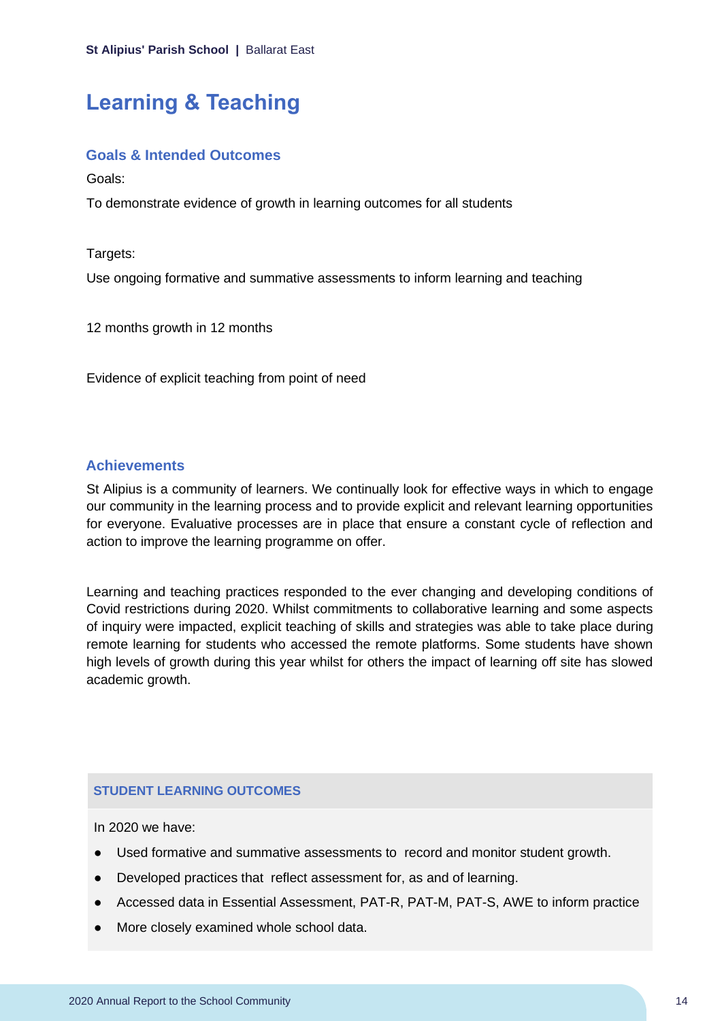# <span id="page-14-0"></span>**Learning & Teaching**

#### **Goals & Intended Outcomes**

Goals:

To demonstrate evidence of growth in learning outcomes for all students

Targets:

Use ongoing formative and summative assessments to inform learning and teaching

12 months growth in 12 months

Evidence of explicit teaching from point of need

### **Achievements**

St Alipius is a community of learners. We continually look for effective ways in which to engage our community in the learning process and to provide explicit and relevant learning opportunities for everyone. Evaluative processes are in place that ensure a constant cycle of reflection and action to improve the learning programme on offer.

Learning and teaching practices responded to the ever changing and developing conditions of Covid restrictions during 2020. Whilst commitments to collaborative learning and some aspects of inquiry were impacted, explicit teaching of skills and strategies was able to take place during remote learning for students who accessed the remote platforms. Some students have shown high levels of growth during this year whilst for others the impact of learning off site has slowed academic growth.

#### **STUDENT LEARNING OUTCOMES**

In 2020 we have:

- Used formative and summative assessments to record and monitor student growth.
- Developed practices that reflect assessment for, as and of learning.
- Accessed data in Essential Assessment, PAT-R, PAT-M, PAT-S, AWE to inform practice
- More closely examined whole school data.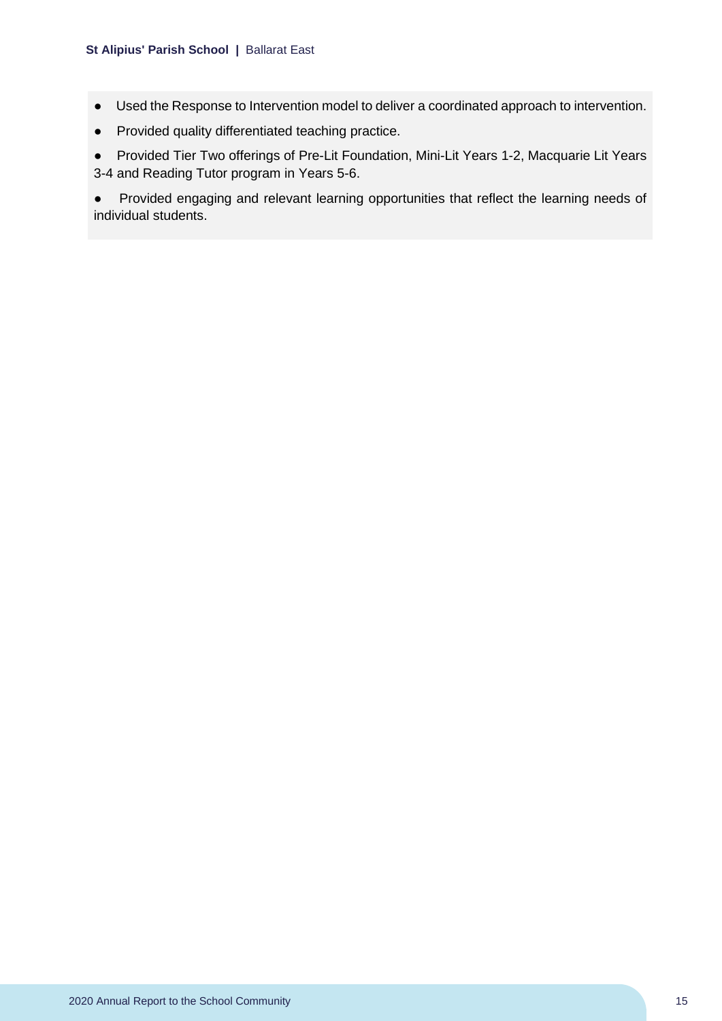- Used the Response to Intervention model to deliver a coordinated approach to intervention.
- Provided quality differentiated teaching practice.

● Provided Tier Two offerings of Pre-Lit Foundation, Mini-Lit Years 1-2, Macquarie Lit Years 3-4 and Reading Tutor program in Years 5-6.

● Provided engaging and relevant learning opportunities that reflect the learning needs of individual students.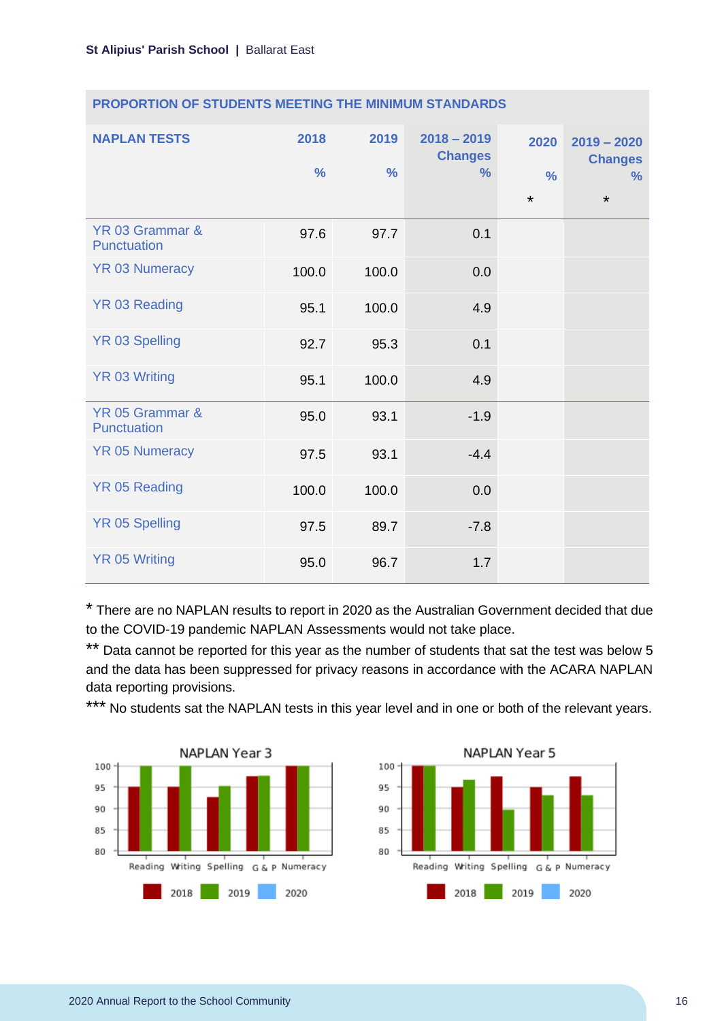| <b>NAPLAN TESTS</b>            | 2018<br>$\frac{9}{6}$ | 2019<br>$\frac{0}{0}$ | $2018 - 2019$<br><b>Changes</b><br>$\frac{9}{6}$ | 2020<br>$\frac{0}{0}$<br>$\star$ | $2019 - 2020$<br><b>Changes</b><br>℅<br>$\star$ |
|--------------------------------|-----------------------|-----------------------|--------------------------------------------------|----------------------------------|-------------------------------------------------|
| YR 03 Grammar &<br>Punctuation | 97.6                  | 97.7                  | 0.1                                              |                                  |                                                 |
| <b>YR 03 Numeracy</b>          | 100.0                 | 100.0                 | 0.0                                              |                                  |                                                 |
| <b>YR 03 Reading</b>           | 95.1                  | 100.0                 | 4.9                                              |                                  |                                                 |
| <b>YR 03 Spelling</b>          | 92.7                  | 95.3                  | 0.1                                              |                                  |                                                 |
| <b>YR 03 Writing</b>           | 95.1                  | 100.0                 | 4.9                                              |                                  |                                                 |
| YR 05 Grammar &<br>Punctuation | 95.0                  | 93.1                  | $-1.9$                                           |                                  |                                                 |
| <b>YR 05 Numeracy</b>          | 97.5                  | 93.1                  | $-4.4$                                           |                                  |                                                 |
| <b>YR 05 Reading</b>           | 100.0                 | 100.0                 | 0.0                                              |                                  |                                                 |
| <b>YR 05 Spelling</b>          | 97.5                  | 89.7                  | $-7.8$                                           |                                  |                                                 |
| <b>YR 05 Writing</b>           | 95.0                  | 96.7                  | 1.7                                              |                                  |                                                 |

#### **PROPORTION OF STUDENTS MEETING THE MINIMUM STANDARDS**

\* There are no NAPLAN results to report in 2020 as the Australian Government decided that due to the COVID-19 pandemic NAPLAN Assessments would not take place.

\*\* Data cannot be reported for this year as the number of students that sat the test was below 5 and the data has been suppressed for privacy reasons in accordance with the ACARA NAPLAN data reporting provisions.

\*\*\* No students sat the NAPLAN tests in this year level and in one or both of the relevant years.



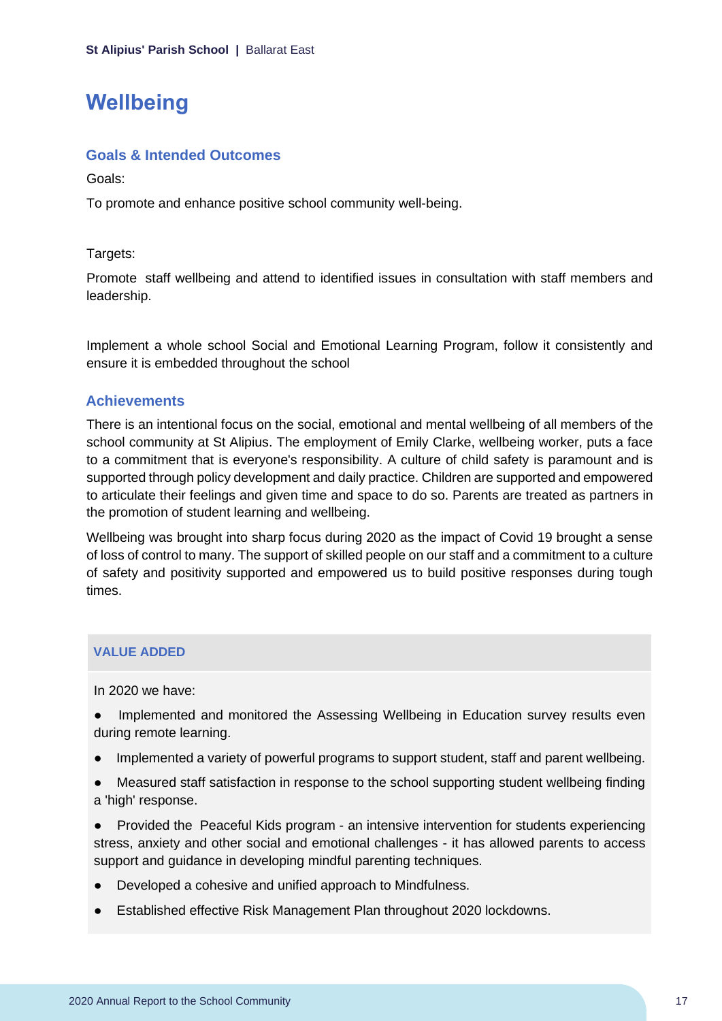### <span id="page-17-0"></span>**Wellbeing**

#### **Goals & Intended Outcomes**

Goals:

To promote and enhance positive school community well-being.

Targets:

Promote staff wellbeing and attend to identified issues in consultation with staff members and leadership.

Implement a whole school Social and Emotional Learning Program, follow it consistently and ensure it is embedded throughout the school

### **Achievements**

There is an intentional focus on the social, emotional and mental wellbeing of all members of the school community at St Alipius. The employment of Emily Clarke, wellbeing worker, puts a face to a commitment that is everyone's responsibility. A culture of child safety is paramount and is supported through policy development and daily practice. Children are supported and empowered to articulate their feelings and given time and space to do so. Parents are treated as partners in the promotion of student learning and wellbeing.

Wellbeing was brought into sharp focus during 2020 as the impact of Covid 19 brought a sense of loss of control to many. The support of skilled people on our staff and a commitment to a culture of safety and positivity supported and empowered us to build positive responses during tough times.

### **VALUE ADDED**

In 2020 we have:

Implemented and monitored the Assessing Wellbeing in Education survey results even during remote learning.

- Implemented a variety of powerful programs to support student, staff and parent wellbeing.
- Measured staff satisfaction in response to the school supporting student wellbeing finding a 'high' response.

● Provided the Peaceful Kids program - an intensive intervention for students experiencing stress, anxiety and other social and emotional challenges - it has allowed parents to access support and guidance in developing mindful parenting techniques.

- Developed a cohesive and unified approach to Mindfulness.
- **Established effective Risk Management Plan throughout 2020 lockdowns.**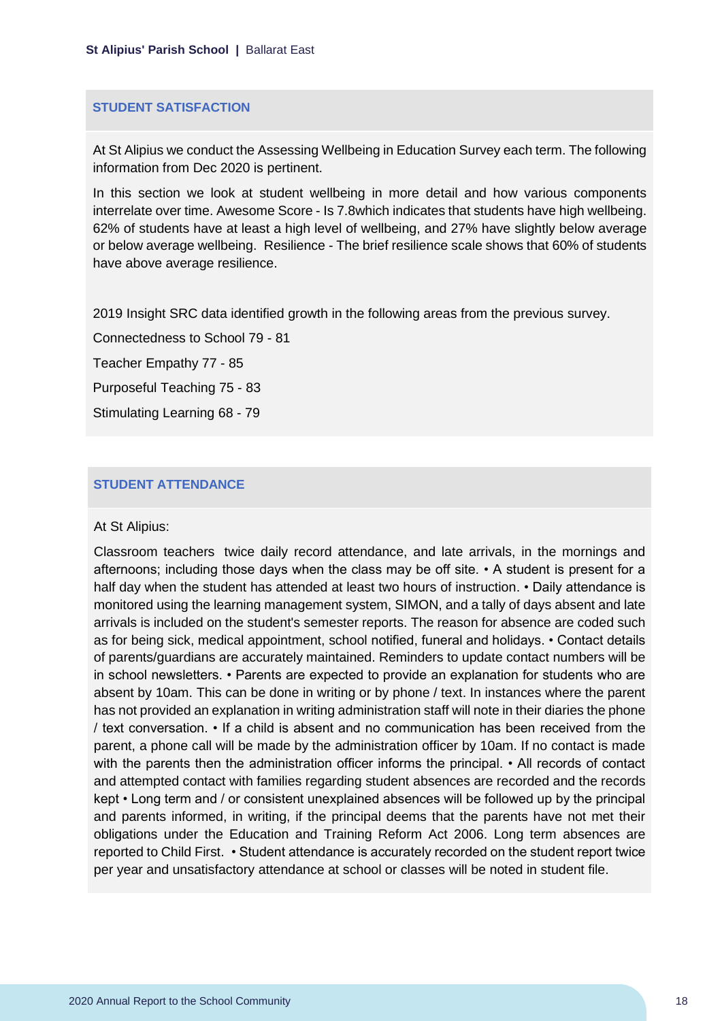#### **STUDENT SATISFACTION**

At St Alipius we conduct the Assessing Wellbeing in Education Survey each term. The following information from Dec 2020 is pertinent.

In this section we look at student wellbeing in more detail and how various components interrelate over time. Awesome Score - Is 7.8which indicates that students have high wellbeing. 62% of students have at least a high level of wellbeing, and 27% have slightly below average or below average wellbeing. Resilience - The brief resilience scale shows that 60% of students have above average resilience.

2019 Insight SRC data identified growth in the following areas from the previous survey.

Connectedness to School 79 - 81

Teacher Empathy 77 - 85

Purposeful Teaching 75 - 83

Stimulating Learning 68 - 79

#### **STUDENT ATTENDANCE**

#### At St Alipius:

Classroom teachers twice daily record attendance, and late arrivals, in the mornings and afternoons; including those days when the class may be off site. • A student is present for a half day when the student has attended at least two hours of instruction. • Daily attendance is monitored using the learning management system, SIMON, and a tally of days absent and late arrivals is included on the student's semester reports. The reason for absence are coded such as for being sick, medical appointment, school notified, funeral and holidays. • Contact details of parents/guardians are accurately maintained. Reminders to update contact numbers will be in school newsletters. • Parents are expected to provide an explanation for students who are absent by 10am. This can be done in writing or by phone / text. In instances where the parent has not provided an explanation in writing administration staff will note in their diaries the phone / text conversation. • If a child is absent and no communication has been received from the parent, a phone call will be made by the administration officer by 10am. If no contact is made with the parents then the administration officer informs the principal. • All records of contact and attempted contact with families regarding student absences are recorded and the records kept • Long term and / or consistent unexplained absences will be followed up by the principal and parents informed, in writing, if the principal deems that the parents have not met their obligations under the Education and Training Reform Act 2006. Long term absences are reported to Child First. • Student attendance is accurately recorded on the student report twice per year and unsatisfactory attendance at school or classes will be noted in student file.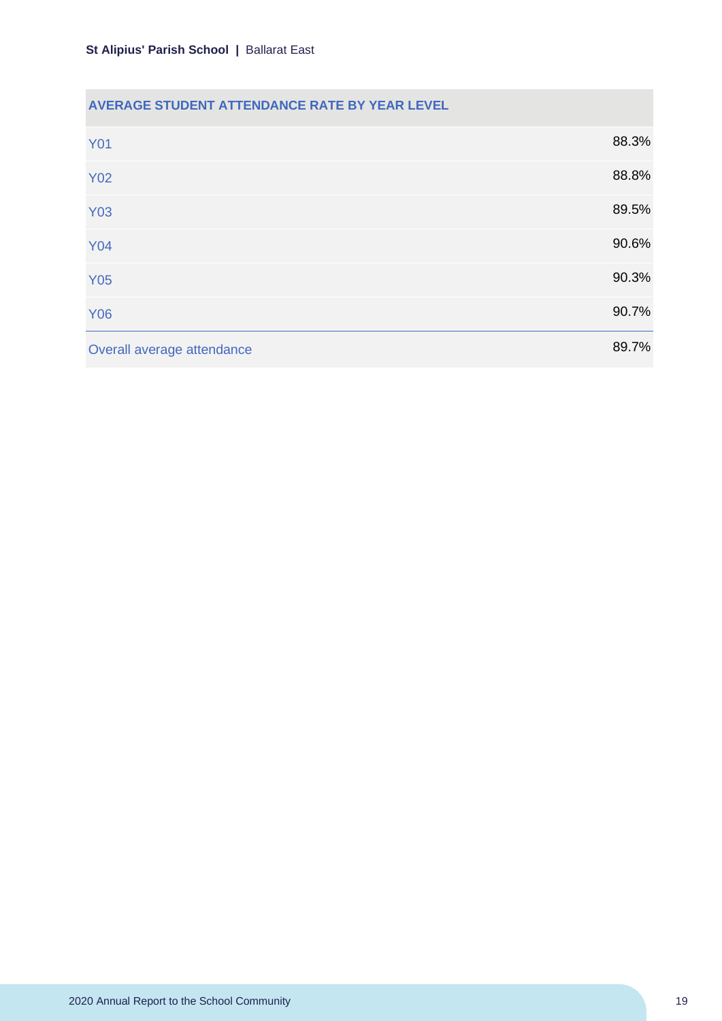### **AVERAGE STUDENT ATTENDANCE RATE BY YEAR LEVEL**

| <b>Y01</b>                 | 88.3% |
|----------------------------|-------|
| <b>Y02</b>                 | 88.8% |
| <b>Y03</b>                 | 89.5% |
| <b>Y04</b>                 | 90.6% |
| <b>Y05</b>                 | 90.3% |
| <b>Y06</b>                 | 90.7% |
| Overall average attendance | 89.7% |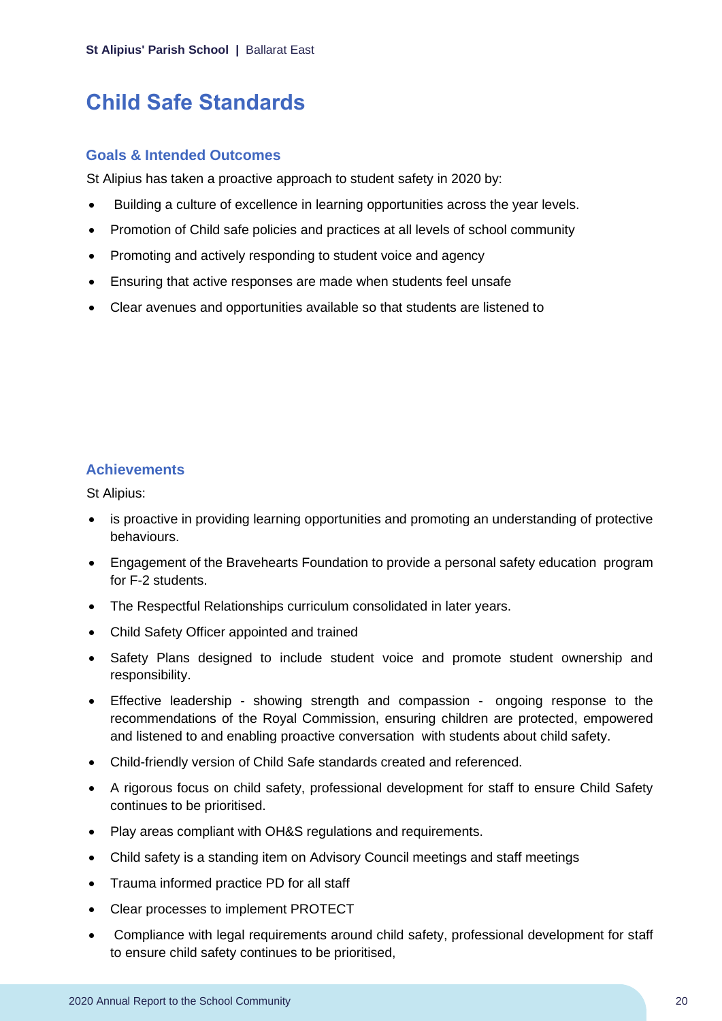# <span id="page-20-0"></span>**Child Safe Standards**

#### **Goals & Intended Outcomes**

St Alipius has taken a proactive approach to student safety in 2020 by:

- Building a culture of excellence in learning opportunities across the year levels.
- Promotion of Child safe policies and practices at all levels of school community
- Promoting and actively responding to student voice and agency
- Ensuring that active responses are made when students feel unsafe
- Clear avenues and opportunities available so that students are listened to

### **Achievements**

St Alipius:

- is proactive in providing learning opportunities and promoting an understanding of protective behaviours.
- Engagement of the Bravehearts Foundation to provide a personal safety education program for F-2 students.
- The Respectful Relationships curriculum consolidated in later years.
- Child Safety Officer appointed and trained
- Safety Plans designed to include student voice and promote student ownership and responsibility.
- Effective leadership showing strength and compassion ongoing response to the recommendations of the Royal Commission, ensuring children are protected, empowered and listened to and enabling proactive conversation with students about child safety.
- Child-friendly version of Child Safe standards created and referenced.
- A rigorous focus on child safety, professional development for staff to ensure Child Safety continues to be prioritised.
- Play areas compliant with OH&S regulations and requirements.
- Child safety is a standing item on Advisory Council meetings and staff meetings
- Trauma informed practice PD for all staff
- Clear processes to implement PROTECT
- Compliance with legal requirements around child safety, professional development for staff to ensure child safety continues to be prioritised,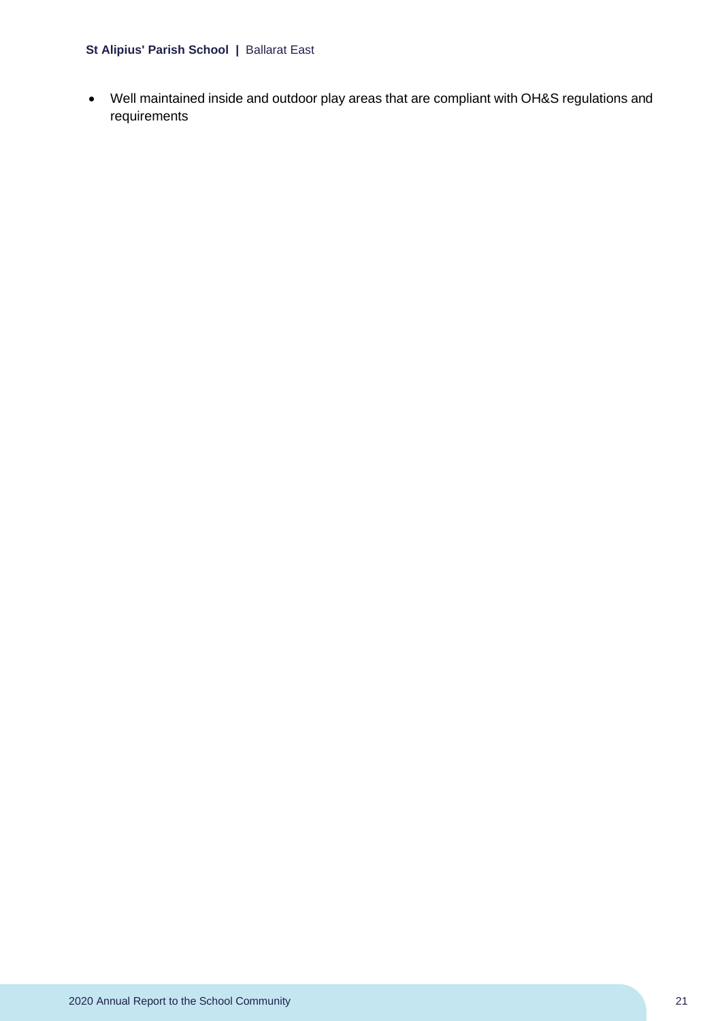#### **St Alipius' Parish School |** Ballarat East

• Well maintained inside and outdoor play areas that are compliant with OH&S regulations and requirements